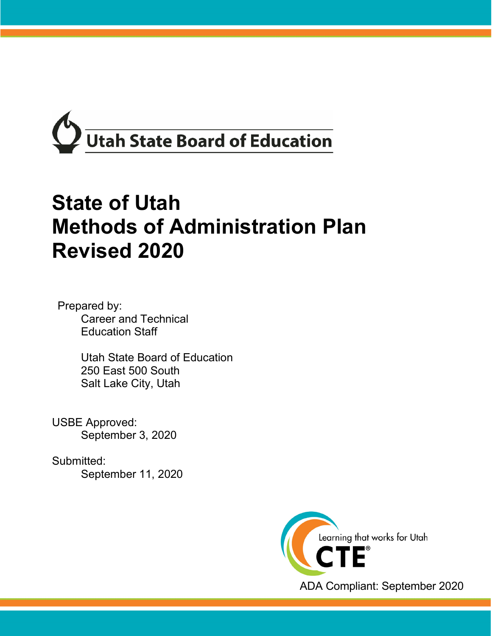

# **State of Utah Methods of Administration Plan Revised 2020**

Prepared by: Career and Technical Education Staff

> Utah State Board of Education 250 East 500 South Salt Lake City, Utah

USBE Approved: September 3, 2020

Submitted: September 11, 2020

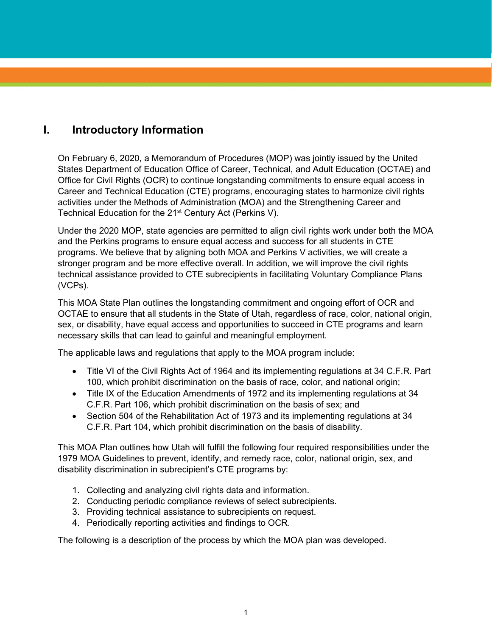# **I. Introductory Information**

On February 6, 2020, a Memorandum of Procedures (MOP) was jointly issued by the United States Department of Education Office of Career, Technical, and Adult Education (OCTAE) and Office for Civil Rights (OCR) to continue longstanding commitments to ensure equal access in Career and Technical Education (CTE) programs, encouraging states to harmonize civil rights activities under the Methods of Administration (MOA) and the Strengthening Career and Technical Education for the 21<sup>st</sup> Century Act (Perkins V).

Under the 2020 MOP, state agencies are permitted to align civil rights work under both the MOA and the Perkins programs to ensure equal access and success for all students in CTE programs. We believe that by aligning both MOA and Perkins V activities, we will create a stronger program and be more effective overall. In addition, we will improve the civil rights technical assistance provided to CTE subrecipients in facilitating Voluntary Compliance Plans (VCPs).

This MOA State Plan outlines the longstanding commitment and ongoing effort of OCR and OCTAE to ensure that all students in the State of Utah, regardless of race, color, national origin, sex, or disability, have equal access and opportunities to succeed in CTE programs and learn necessary skills that can lead to gainful and meaningful employment.

The applicable laws and regulations that apply to the MOA program include:

- Title VI of the Civil Rights Act of 1964 and its implementing regulations at 34 C.F.R. Part 100, which prohibit discrimination on the basis of race, color, and national origin;
- Title IX of the Education Amendments of 1972 and its implementing regulations at 34 C.F.R. Part 106, which prohibit discrimination on the basis of sex; and
- Section 504 of the Rehabilitation Act of 1973 and its implementing regulations at 34 C.F.R. Part 104, which prohibit discrimination on the basis of disability.

This MOA Plan outlines how Utah will fulfill the following four required responsibilities under the 1979 MOA Guidelines to prevent, identify, and remedy race, color, national origin, sex, and disability discrimination in subrecipient's CTE programs by:

- 1. Collecting and analyzing civil rights data and information.
- 2. Conducting periodic compliance reviews of select subrecipients.
- 3. Providing technical assistance to subrecipients on request.
- 4. Periodically reporting activities and findings to OCR.

The following is a description of the process by which the MOA plan was developed.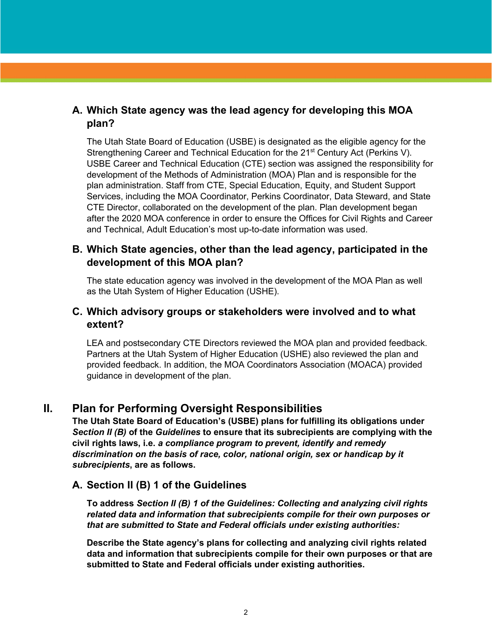## **A. Which State agency was the lead agency for developing this MOA plan?**

The Utah State Board of Education (USBE) is designated as the eligible agency for the Strengthening Career and Technical Education for the 21<sup>st</sup> Century Act (Perkins V). USBE Career and Technical Education (CTE) section was assigned the responsibility for development of the Methods of Administration (MOA) Plan and is responsible for the plan administration. Staff from CTE, Special Education, Equity, and Student Support Services, including the MOA Coordinator, Perkins Coordinator, Data Steward, and State CTE Director, collaborated on the development of the plan. Plan development began after the 2020 MOA conference in order to ensure the Offices for Civil Rights and Career and Technical, Adult Education's most up-to-date information was used.

#### **B. Which State agencies, other than the lead agency, participated in the development of this MOA plan?**

The state education agency was involved in the development of the MOA Plan as well as the Utah System of Higher Education (USHE).

### **C. Which advisory groups or stakeholders were involved and to what extent?**

LEA and postsecondary CTE Directors reviewed the MOA plan and provided feedback. Partners at the Utah System of Higher Education (USHE) also reviewed the plan and provided feedback. In addition, the MOA Coordinators Association (MOACA) provided guidance in development of the plan.

#### **II. Plan for Performing Oversight Responsibilities**

**The Utah State Board of Education's (USBE) plans for fulfilling its obligations under**  *Section II (B)* **of the** *Guidelines* **to ensure that its subrecipients are complying with the civil rights laws, i.e.** *a compliance program to prevent, identify and remedy discrimination on the basis of race, color, national origin, sex or handicap by it subrecipients***, are as follows.**

#### **A. Section II (B) 1 of the Guidelines**

**To address** *Section II (B) 1 of the Guidelines: Collecting and analyzing civil rights related data and information that subrecipients compile for their own purposes or that are submitted to State and Federal officials under existing authorities:*

**Describe the State agency's plans for collecting and analyzing civil rights related data and information that subrecipients compile for their own purposes or that are submitted to State and Federal officials under existing authorities.**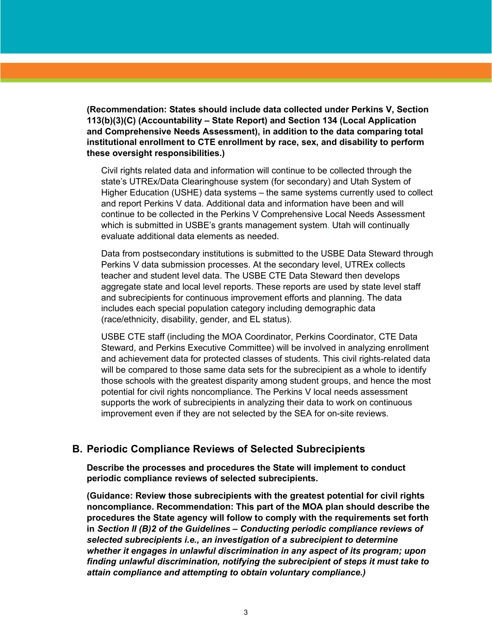**(Recommendation: States should include data collected under Perkins V, Section 113(b)(3)(C) (Accountability – State Report) and Section 134 (Local Application and Comprehensive Needs Assessment), in addition to the data comparing total institutional enrollment to CTE enrollment by race, sex, and disability to perform these oversight responsibilities.)**

Civil rights related data and information will continue to be collected through the state's UTREx/Data Clearinghouse system (for secondary) and Utah System of Higher Education (USHE) data systems – the same systems currently used to collect and report Perkins V data. Additional data and information have been and will continue to be collected in the Perkins V Comprehensive Local Needs Assessment which is submitted in USBE's grants management system. Utah will continually evaluate additional data elements as needed.

Data from postsecondary institutions is submitted to the USBE Data Steward through Perkins V data submission processes. At the secondary level, UTREx collects teacher and student level data. The USBE CTE Data Steward then develops aggregate state and local level reports. These reports are used by state level staff and subrecipients for continuous improvement efforts and planning. The data includes each special population category including demographic data (race/ethnicity, disability, gender, and EL status).

USBE CTE staff (including the MOA Coordinator, Perkins Coordinator, CTE Data Steward, and Perkins Executive Committee) will be involved in analyzing enrollment and achievement data for protected classes of students. This civil rights-related data will be compared to those same data sets for the subrecipient as a whole to identify those schools with the greatest disparity among student groups, and hence the most potential for civil rights noncompliance. The Perkins V local needs assessment supports the work of subrecipients in analyzing their data to work on continuous improvement even if they are not selected by the SEA for on-site reviews.

#### **B. Periodic Compliance Reviews of Selected Subrecipients**

**Describe the processes and procedures the State will implement to conduct periodic compliance reviews of selected subrecipients.**

**(Guidance: Review those subrecipients with the greatest potential for civil rights noncompliance. Recommendation: This part of the MOA plan should describe the procedures the State agency will follow to comply with the requirements set forth in** *Section II (B)2 of the Guidelines – Conducting periodic compliance reviews of selected subrecipients i.e., an investigation of a subrecipient to determine whether it engages in unlawful discrimination in any aspect of its program; upon finding unlawful discrimination, notifying the subrecipient of steps it must take to attain compliance and attempting to obtain voluntary compliance.)*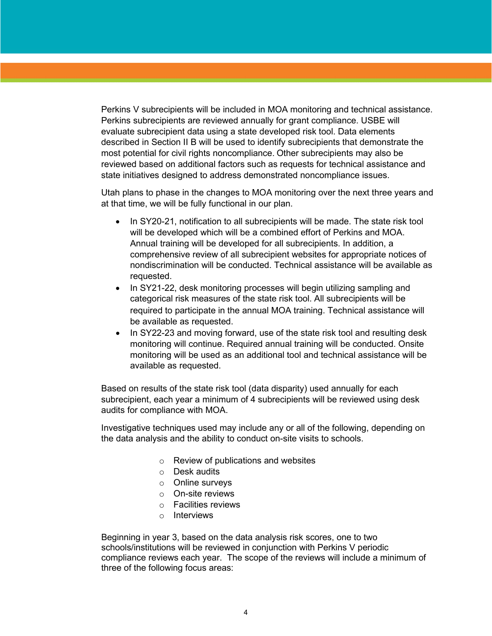Perkins V subrecipients will be included in MOA monitoring and technical assistance. Perkins subrecipients are reviewed annually for grant compliance. USBE will evaluate subrecipient data using a state developed risk tool. Data elements described in Section II B will be used to identify subrecipients that demonstrate the most potential for civil rights noncompliance. Other subrecipients may also be reviewed based on additional factors such as requests for technical assistance and state initiatives designed to address demonstrated noncompliance issues.

Utah plans to phase in the changes to MOA monitoring over the next three years and at that time, we will be fully functional in our plan.

- In SY20-21, notification to all subrecipients will be made. The state risk tool will be developed which will be a combined effort of Perkins and MOA. Annual training will be developed for all subrecipients. In addition, a comprehensive review of all subrecipient websites for appropriate notices of nondiscrimination will be conducted. Technical assistance will be available as requested.
- In SY21-22, desk monitoring processes will begin utilizing sampling and categorical risk measures of the state risk tool. All subrecipients will be required to participate in the annual MOA training. Technical assistance will be available as requested.
- In SY22-23 and moving forward, use of the state risk tool and resulting desk monitoring will continue. Required annual training will be conducted. Onsite monitoring will be used as an additional tool and technical assistance will be available as requested.

Based on results of the state risk tool (data disparity) used annually for each subrecipient, each year a minimum of 4 subrecipients will be reviewed using desk audits for compliance with MOA.

Investigative techniques used may include any or all of the following, depending on the data analysis and the ability to conduct on-site visits to schools.

- o Review of publications and websites
- o Desk audits
- o Online surveys
- o On-site reviews
- o Facilities reviews
- o Interviews

Beginning in year 3, based on the data analysis risk scores, one to two schools/institutions will be reviewed in conjunction with Perkins V periodic compliance reviews each year. The scope of the reviews will include a minimum of three of the following focus areas: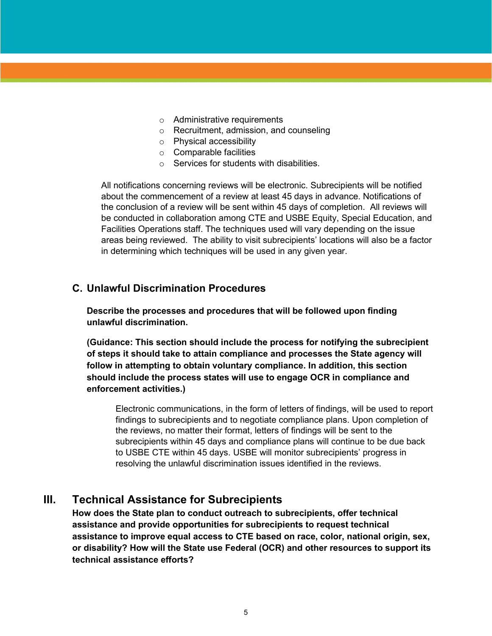- o Administrative requirements
- o Recruitment, admission, and counseling
- o Physical accessibility
- o Comparable facilities
- $\circ$  Services for students with disabilities.

All notifications concerning reviews will be electronic. Subrecipients will be notified about the commencement of a review at least 45 days in advance. Notifications of the conclusion of a review will be sent within 45 days of completion. All reviews will be conducted in collaboration among CTE and USBE Equity, Special Education, and Facilities Operations staff. The techniques used will vary depending on the issue areas being reviewed. The ability to visit subrecipients' locations will also be a factor in determining which techniques will be used in any given year.

#### **C. Unlawful Discrimination Procedures**

**Describe the processes and procedures that will be followed upon finding unlawful discrimination.** 

**(Guidance: This section should include the process for notifying the subrecipient of steps it should take to attain compliance and processes the State agency will follow in attempting to obtain voluntary compliance. In addition, this section should include the process states will use to engage OCR in compliance and enforcement activities.)**

Electronic communications, in the form of letters of findings, will be used to report findings to subrecipients and to negotiate compliance plans. Upon completion of the reviews, no matter their format, letters of findings will be sent to the subrecipients within 45 days and compliance plans will continue to be due back to USBE CTE within 45 days. USBE will monitor subrecipients' progress in resolving the unlawful discrimination issues identified in the reviews.

## **III. Technical Assistance for Subrecipients**

**How does the State plan to conduct outreach to subrecipients, offer technical assistance and provide opportunities for subrecipients to request technical assistance to improve equal access to CTE based on race, color, national origin, sex, or disability? How will the State use Federal (OCR) and other resources to support its technical assistance efforts?**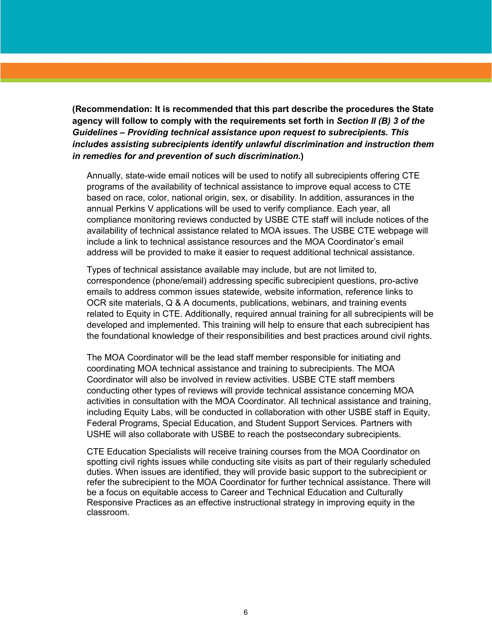**(Recommendation: It is recommended that this part describe the procedures the State agency will follow to comply with the requirements set forth in** *Section II (B) 3 of the Guidelines – Providing technical assistance upon request to subrecipients. This includes assisting subrecipients identify unlawful discrimination and instruction them in remedies for and prevention of such discrimination.***)**

Annually, state-wide email notices will be used to notify all subrecipients offering CTE programs of the availability of technical assistance to improve equal access to CTE based on race, color, national origin, sex, or disability. In addition, assurances in the annual Perkins V applications will be used to verify compliance. Each year, all compliance monitoring reviews conducted by USBE CTE staff will include notices of the availability of technical assistance related to MOA issues. The USBE CTE webpage will include a link to technical assistance resources and the MOA Coordinator's email address will be provided to make it easier to request additional technical assistance.

Types of technical assistance available may include, but are not limited to, correspondence (phone/email) addressing specific subrecipient questions, pro-active emails to address common issues statewide, website information, reference links to OCR site materials, Q & A documents, publications, webinars, and training events related to Equity in CTE. Additionally, required annual training for all subrecipients will be developed and implemented. This training will help to ensure that each subrecipient has the foundational knowledge of their responsibilities and best practices around civil rights.

The MOA Coordinator will be the lead staff member responsible for initiating and coordinating MOA technical assistance and training to subrecipients. The MOA Coordinator will also be involved in review activities. USBE CTE staff members conducting other types of reviews will provide technical assistance concerning MOA activities in consultation with the MOA Coordinator. All technical assistance and training, including Equity Labs, will be conducted in collaboration with other USBE staff in Equity, Federal Programs, Special Education, and Student Support Services. Partners with USHE will also collaborate with USBE to reach the postsecondary subrecipients.

CTE Education Specialists will receive training courses from the MOA Coordinator on spotting civil rights issues while conducting site visits as part of their regularly scheduled duties. When issues are identified, they will provide basic support to the subrecipient or refer the subrecipient to the MOA Coordinator for further technical assistance. There will be a focus on equitable access to Career and Technical Education and Culturally Responsive Practices as an effective instructional strategy in improving equity in the classroom.